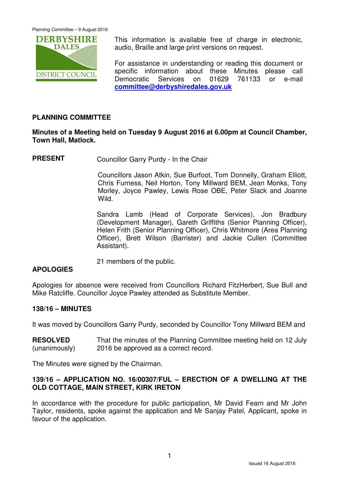

This information is available free of charge in electronic, audio, Braille and large print versions on request.

For assistance in understanding or reading this document or specific information about these Minutes please call Democratic Services on 01629 761133 or e-mail **committee@derbyshiredales.gov.uk**

## **PLANNING COMMITTEE**

## **Minutes of a Meeting held on Tuesday 9 August 2016 at 6.00pm at Council Chamber, Town Hall, Matlock.**

**PRESENT** Councillor Garry Purdy - In the Chair

 Councillors Jason Atkin, Sue Burfoot, Tom Donnelly, Graham Elliott, Chris Furness, Neil Horton, Tony Millward BEM, Jean Monks, Tony Morley, Joyce Pawley, Lewis Rose OBE, Peter Slack and Joanne Wild.

Sandra Lamb (Head of Corporate Services), Jon Bradbury (Development Manager), Gareth Griffiths (Senior Planning Officer), Helen Frith (Senior Planning Officer), Chris Whitmore (Area Planning Officer), Brett Wilson (Barrister) and Jackie Cullen (Committee Assistant).

21 members of the public.

## **APOLOGIES**

Apologies for absence were received from Councillors Richard FitzHerbert, Sue Bull and Mike Ratcliffe. Councillor Joyce Pawley attended as Substitute Member.

#### **138/16 – MINUTES**

It was moved by Councillors Garry Purdy, seconded by Councillor Tony Millward BEM and

**RESOLVED** (unanimously) That the minutes of the Planning Committee meeting held on 12 July 2016 be approved as a correct record.

The Minutes were signed by the Chairman.

#### **139/16 – APPLICATION NO. 16/00307/FUL – ERECTION OF A DWELLING AT THE OLD COTTAGE, MAIN STREET, KIRK IRETON**

In accordance with the procedure for public participation, Mr David Fearn and Mr John Taylor, residents, spoke against the application and Mr Sanjay Patel, Applicant, spoke in favour of the application.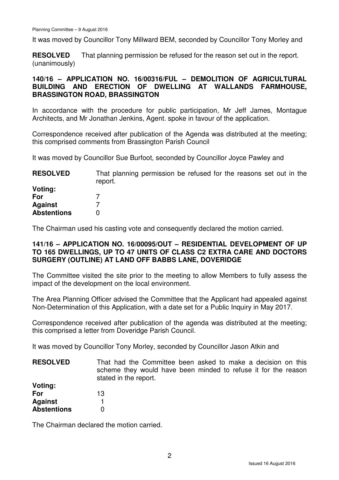It was moved by Councillor Tony Millward BEM, seconded by Councillor Tony Morley and

**RESOLVED** (unanimously) That planning permission be refused for the reason set out in the report.

### **140/16 – APPLICATION NO. 16/00316/FUL – DEMOLITION OF AGRICULTURAL BUILDING AND ERECTION OF DWELLING AT WALLANDS FARMHOUSE, BRASSINGTON ROAD, BRASSINGTON**

In accordance with the procedure for public participation, Mr Jeff James, Montague Architects, and Mr Jonathan Jenkins, Agent. spoke in favour of the application.

Correspondence received after publication of the Agenda was distributed at the meeting; this comprised comments from Brassington Parish Council

It was moved by Councillor Sue Burfoot, seconded by Councillor Joyce Pawley and

| <b>RESOLVED</b>    | That planning permission be refused for the reasons set out in the<br>report. |
|--------------------|-------------------------------------------------------------------------------|
| Voting:            |                                                                               |
| For                |                                                                               |
| <b>Against</b>     |                                                                               |
| <b>Abstentions</b> |                                                                               |

The Chairman used his casting vote and consequently declared the motion carried.

#### **141/16 – APPLICATION NO. 16/00095/OUT – RESIDENTIAL DEVELOPMENT OF UP TO 165 DWELLINGS, UP TO 47 UNITS OF CLASS C2 EXTRA CARE AND DOCTORS SURGERY (OUTLINE) AT LAND OFF BABBS LANE, DOVERIDGE**

The Committee visited the site prior to the meeting to allow Members to fully assess the impact of the development on the local environment.

The Area Planning Officer advised the Committee that the Applicant had appealed against Non-Determination of this Application, with a date set for a Public Inquiry in May 2017.

Correspondence received after publication of the agenda was distributed at the meeting; this comprised a letter from Doveridge Parish Council.

It was moved by Councillor Tony Morley, seconded by Councillor Jason Atkin and

**RESOLVED Voting:**  That had the Committee been asked to make a decision on this scheme they would have been minded to refuse it for the reason stated in the report.

| vouud.             |    |
|--------------------|----|
| For                | 13 |
| <b>Against</b>     |    |
| <b>Abstentions</b> | 0  |

The Chairman declared the motion carried.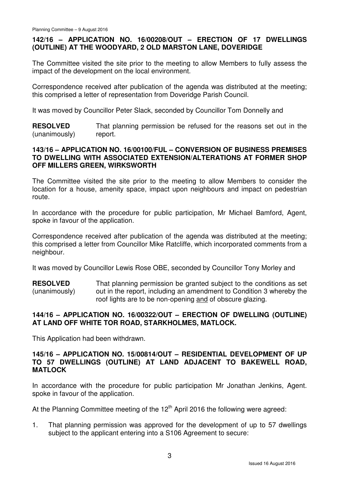## **142/16 – APPLICATION NO. 16/00208/OUT – ERECTION OF 17 DWELLINGS (OUTLINE) AT THE WOODYARD, 2 OLD MARSTON LANE, DOVERIDGE**

The Committee visited the site prior to the meeting to allow Members to fully assess the impact of the development on the local environment.

Correspondence received after publication of the agenda was distributed at the meeting; this comprised a letter of representation from Doveridge Parish Council.

It was moved by Councillor Peter Slack, seconded by Councillor Tom Donnelly and

**RESOLVED** (unanimously) That planning permission be refused for the reasons set out in the report.

#### **143/16 – APPLICATION NO. 16/00100/FUL – CONVERSION OF BUSINESS PREMISES TO DWELLING WITH ASSOCIATED EXTENSION/ALTERATIONS AT FORMER SHOP OFF MILLERS GREEN, WIRKSWORTH**

The Committee visited the site prior to the meeting to allow Members to consider the location for a house, amenity space, impact upon neighbours and impact on pedestrian route.

In accordance with the procedure for public participation, Mr Michael Bamford, Agent, spoke in favour of the application.

Correspondence received after publication of the agenda was distributed at the meeting; this comprised a letter from Councillor Mike Ratcliffe, which incorporated comments from a neighbour.

It was moved by Councillor Lewis Rose OBE, seconded by Councillor Tony Morley and

**RESOLVED** (unanimously) That planning permission be granted subject to the conditions as set out in the report, including an amendment to Condition 3 whereby the roof lights are to be non-opening and of obscure glazing.

## **144/16 – APPLICATION NO. 16/00322/OUT – ERECTION OF DWELLING (OUTLINE) AT LAND OFF WHITE TOR ROAD, STARKHOLMES, MATLOCK.**

This Application had been withdrawn.

#### **145/16 – APPLICATION NO. 15/00814/OUT – RESIDENTIAL DEVELOPMENT OF UP TO 57 DWELLINGS (OUTLINE) AT LAND ADJACENT TO BAKEWELL ROAD, MATLOCK**

In accordance with the procedure for public participation Mr Jonathan Jenkins, Agent. spoke in favour of the application.

At the Planning Committee meeting of the  $12<sup>th</sup>$  April 2016 the following were agreed:

1. That planning permission was approved for the development of up to 57 dwellings subject to the applicant entering into a S106 Agreement to secure: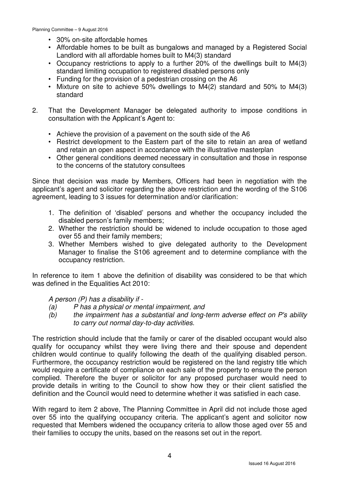- 30% on-site affordable homes
- Affordable homes to be built as bungalows and managed by a Registered Social Landlord with all affordable homes built to M4(3) standard
- Occupancy restrictions to apply to a further 20% of the dwellings built to M4(3) standard limiting occupation to registered disabled persons only
- Funding for the provision of a pedestrian crossing on the A6
- Mixture on site to achieve 50% dwellings to M4(2) standard and 50% to M4(3) standard
- 2. That the Development Manager be delegated authority to impose conditions in consultation with the Applicant's Agent to:
	- Achieve the provision of a pavement on the south side of the A6
	- Restrict development to the Eastern part of the site to retain an area of wetland and retain an open aspect in accordance with the illustrative masterplan
	- Other general conditions deemed necessary in consultation and those in response to the concerns of the statutory consultees

Since that decision was made by Members, Officers had been in negotiation with the applicant's agent and solicitor regarding the above restriction and the wording of the S106 agreement, leading to 3 issues for determination and/or clarification:

- 1. The definition of 'disabled' persons and whether the occupancy included the disabled person's family members;
- 2. Whether the restriction should be widened to include occupation to those aged over 55 and their family members;
- 3. Whether Members wished to give delegated authority to the Development Manager to finalise the S106 agreement and to determine compliance with the occupancy restriction.

In reference to item 1 above the definition of disability was considered to be that which was defined in the Equalities Act 2010:

A person (P) has a disability if -

- (a) P has a physical or mental impairment, and
- (b) the impairment has a substantial and long-term adverse effect on P's ability to carry out normal day-to-day activities.

The restriction should include that the family or carer of the disabled occupant would also qualify for occupancy whilst they were living there and their spouse and dependent children would continue to qualify following the death of the qualifying disabled person. Furthermore, the occupancy restriction would be registered on the land registry title which would require a certificate of compliance on each sale of the property to ensure the person complied. Therefore the buyer or solicitor for any proposed purchaser would need to provide details in writing to the Council to show how they or their client satisfied the definition and the Council would need to determine whether it was satisfied in each case.

With regard to item 2 above. The Planning Committee in April did not include those aged over 55 into the qualifying occupancy criteria. The applicant's agent and solicitor now requested that Members widened the occupancy criteria to allow those aged over 55 and their families to occupy the units, based on the reasons set out in the report.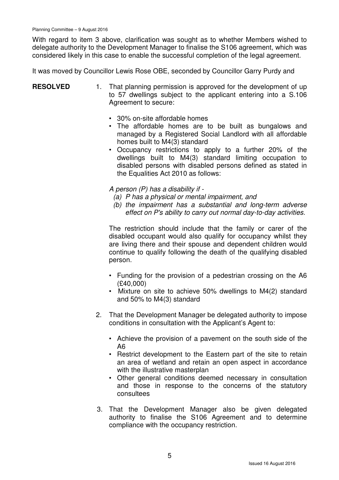With regard to item 3 above, clarification was sought as to whether Members wished to delegate authority to the Development Manager to finalise the S106 agreement, which was considered likely in this case to enable the successful completion of the legal agreement.

It was moved by Councillor Lewis Rose OBE, seconded by Councillor Garry Purdy and

#### **RESOLVED** 1. That planning permission is approved for the development of up to 57 dwellings subject to the applicant entering into a S.106 Agreement to secure:

- 30% on-site affordable homes
- The affordable homes are to be built as bungalows and managed by a Registered Social Landlord with all affordable homes built to M4(3) standard
- Occupancy restrictions to apply to a further 20% of the dwellings built to M4(3) standard limiting occupation to disabled persons with disabled persons defined as stated in the Equalities Act 2010 as follows:

A person (P) has a disability if -

- (a) P has a physical or mental impairment, and
- (b) the impairment has a substantial and long-term adverse effect on P's ability to carry out normal day-to-day activities.

The restriction should include that the family or carer of the disabled occupant would also qualify for occupancy whilst they are living there and their spouse and dependent children would continue to qualify following the death of the qualifying disabled person.

- Funding for the provision of a pedestrian crossing on the A6 (£40,000)
- Mixture on site to achieve 50% dwellings to M4(2) standard and 50% to M4(3) standard
- 2. That the Development Manager be delegated authority to impose conditions in consultation with the Applicant's Agent to:
	- Achieve the provision of a pavement on the south side of the A6
	- Restrict development to the Eastern part of the site to retain an area of wetland and retain an open aspect in accordance with the illustrative masterplan
	- Other general conditions deemed necessary in consultation and those in response to the concerns of the statutory consultees
- 3. That the Development Manager also be given delegated authority to finalise the S106 Agreement and to determine compliance with the occupancy restriction.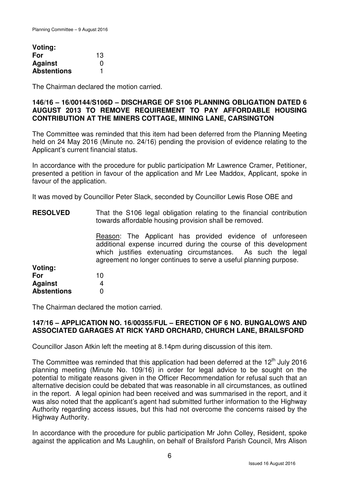| Voting:            |    |
|--------------------|----|
| For                | 13 |
| <b>Against</b>     | ი  |
| <b>Abstentions</b> |    |

The Chairman declared the motion carried.

#### **146/16 – 16/00144/S106D – DISCHARGE OF S106 PLANNING OBLIGATION DATED 6 AUGUST 2013 TO REMOVE REQUIREMENT TO PAY AFFORDABLE HOUSING CONTRIBUTION AT THE MINERS COTTAGE, MINING LANE, CARSINGTON**

The Committee was reminded that this item had been deferred from the Planning Meeting held on 24 May 2016 (Minute no. 24/16) pending the provision of evidence relating to the Applicant's current financial status.

In accordance with the procedure for public participation Mr Lawrence Cramer, Petitioner, presented a petition in favour of the application and Mr Lee Maddox, Applicant, spoke in favour of the application.

It was moved by Councillor Peter Slack, seconded by Councillor Lewis Rose OBE and

| <b>RESOLVED</b>    | That the S106 legal obligation relating to the financial contribution<br>towards affordable housing provision shall be removed.                                                                                                                                     |
|--------------------|---------------------------------------------------------------------------------------------------------------------------------------------------------------------------------------------------------------------------------------------------------------------|
|                    | Reason: The Applicant has provided evidence of unforeseen<br>additional expense incurred during the course of this development<br>which justifies extenuating circumstances. As such the legal<br>agreement no longer continues to serve a useful planning purpose. |
| Voting:            |                                                                                                                                                                                                                                                                     |
| For                | 10                                                                                                                                                                                                                                                                  |
| <b>Against</b>     | 4                                                                                                                                                                                                                                                                   |
| <b>Abstentions</b> |                                                                                                                                                                                                                                                                     |

The Chairman declared the motion carried.

#### **147/16 – APPLICATION NO. 16/00355/FUL – ERECTION OF 6 NO. BUNGALOWS AND ASSOCIATED GARAGES AT RICK YARD ORCHARD, CHURCH LANE, BRAILSFORD**

Councillor Jason Atkin left the meeting at 8.14pm during discussion of this item.

The Committee was reminded that this application had been deferred at the  $12<sup>th</sup>$  July 2016 planning meeting (Minute No. 109/16) in order for legal advice to be sought on the potential to mitigate reasons given in the Officer Recommendation for refusal such that an alternative decision could be debated that was reasonable in all circumstances, as outlined in the report. A legal opinion had been received and was summarised in the report, and it was also noted that the applicant's agent had submitted further information to the Highway Authority regarding access issues, but this had not overcome the concerns raised by the Highway Authority.

In accordance with the procedure for public participation Mr John Colley, Resident, spoke against the application and Ms Laughlin, on behalf of Brailsford Parish Council, Mrs Alison